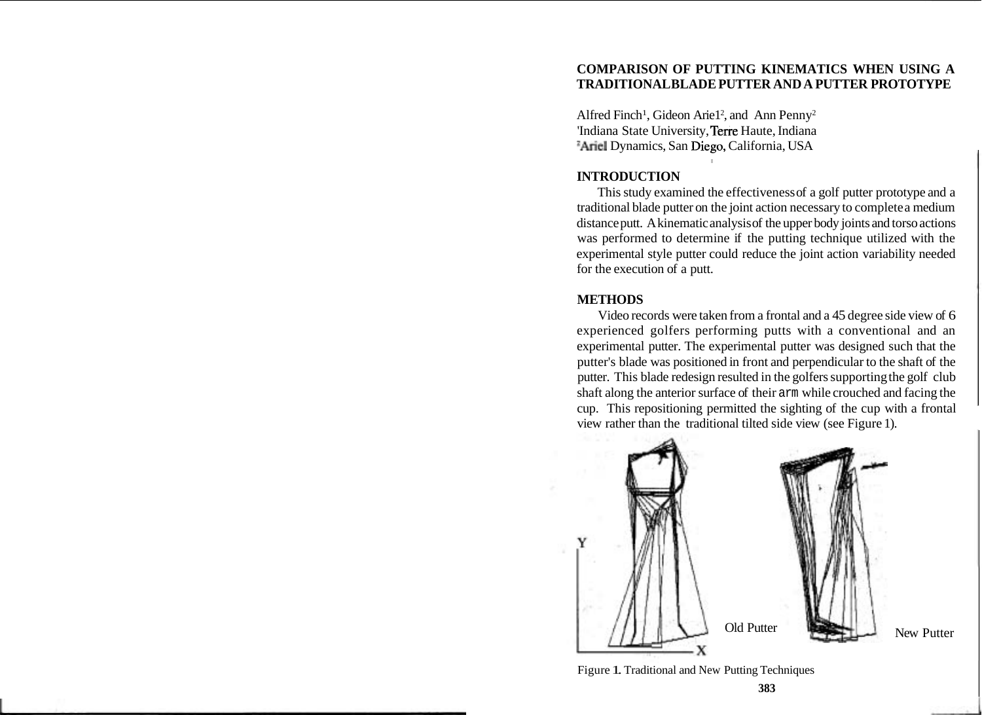# **COMPARISON OF PUTTING KINEMATICS WHEN USING A TRADITIONAL BLADE PUTTER AND A PUTTER PROTOTYPE**

Alfred Finch<sup>1</sup>, Gideon Arie1<sup>2</sup>, and Ann Penny<sup>2</sup> 'Indiana State University, Terre Haute, Indiana <sup>2</sup>Ariel Dynamics, San Diego, California, USA

## **INTRODUCTION**

This study examined the effectiveness of a golf putter prototype and a traditional blade putter on the joint action necessary to complete a medium distance putt. A kinematic analysis of the upper body joints and torso actions was performed to determine if the putting technique utilized with the experimental style putter could reduce the joint action variability needed for the execution of a putt.

### **METHODS**

Video records were taken from a frontal and a 45 degree side view of 6 experienced golfers performing putts with a conventional and an experimental putter. The experimental putter was designed such that the putter's blade was positioned in front and perpendicular to the shaft of the putter. This blade redesign resulted in the golfers supporting the golf club shaft along the anterior surface of their arm while crouched and facing the cup. This repositioning permitted the sighting of the cup with a frontal view rather than the traditional tilted side view (see Figure 1).



New Putter

Figure 1. Traditional and New Putting Techniques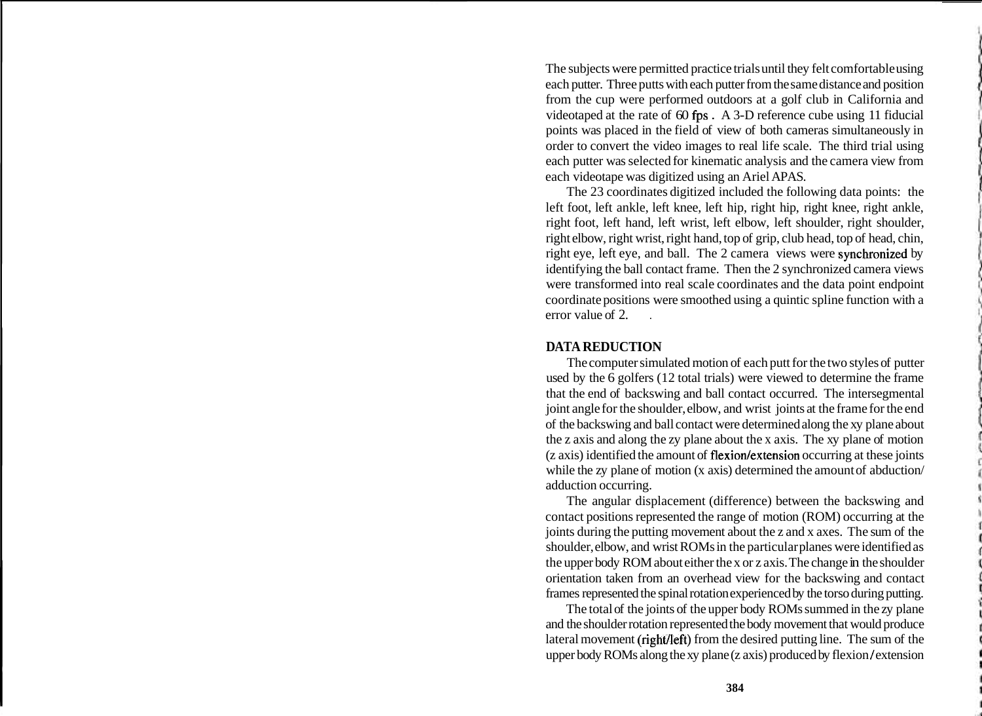The subjects were permitted practice trials until they felt comfortable using each putter. Three putts with each putter from the same distance and position from the cup were performed outdoors at a golf club in California and videotaped at the rate of 60 fps . A 3-D reference cube using 11 fiducial points was placed in the field of view of both cameras simultaneously in order to convert the video images to real life scale. The third trial using each putter was selected for kinematic analysis and the camera view from each videotape was digitized using an Ariel APAS.

The 23 coordinates digitized included the following data points: the left foot, left ankle, left knee, left hip, right hip, right knee, right ankle, right foot, left hand, left wrist, left elbow, left shoulder, right shoulder, right elbow, right wrist, right hand, top of grip, club head, top of head, chin, right eye, left eye, and ball. The 2 camera views were synchronized by identifying the ball contact frame. Then the 2 synchronized camera views were transformed into real scale coordinates and the data point endpoint coordinate positions were smoothed using a quintic spline function with a error value of 2.

### **DATA REDUCTION**

The computer simulated motion of each putt for the two styles of putter used by the 6 golfers (12 total trials) were viewed to determine the frame that the end of backswing and ball contact occurred. The intersegmental joint angle for the shoulder, elbow, and wrist joints at the frame for the end of the backswing and ball contact were determined along the xy plane about the z axis and along the zy plane about the x axis. The xy plane of motion (z axis) identified the amount of flexion/extension occurring at these joints while the zy plane of motion (x axis) determined the amount of abduction/ adduction occurring.

The angular displacement (difference) between the backswing and contact positions represented the range of motion (ROM) occurring at the joints during the putting movement about the z and x axes. The sum of the shoulder, elbow, and wrist ROMs in the particular planes were identified as the upper body ROM about either the x or z axis. The change in the shoulder orientation taken from an overhead view for the backswing and contact frames represented the spinal rotation experienced by the torso during putting.

The total of the joints of the upper body ROMs summed in the zy plane and the shoulder rotation represented the body movement that would produce lateral movement (right/left) from the desired putting line. The sum of the upper body ROMs along the xy plane (z axis) produced by flexion **1** extension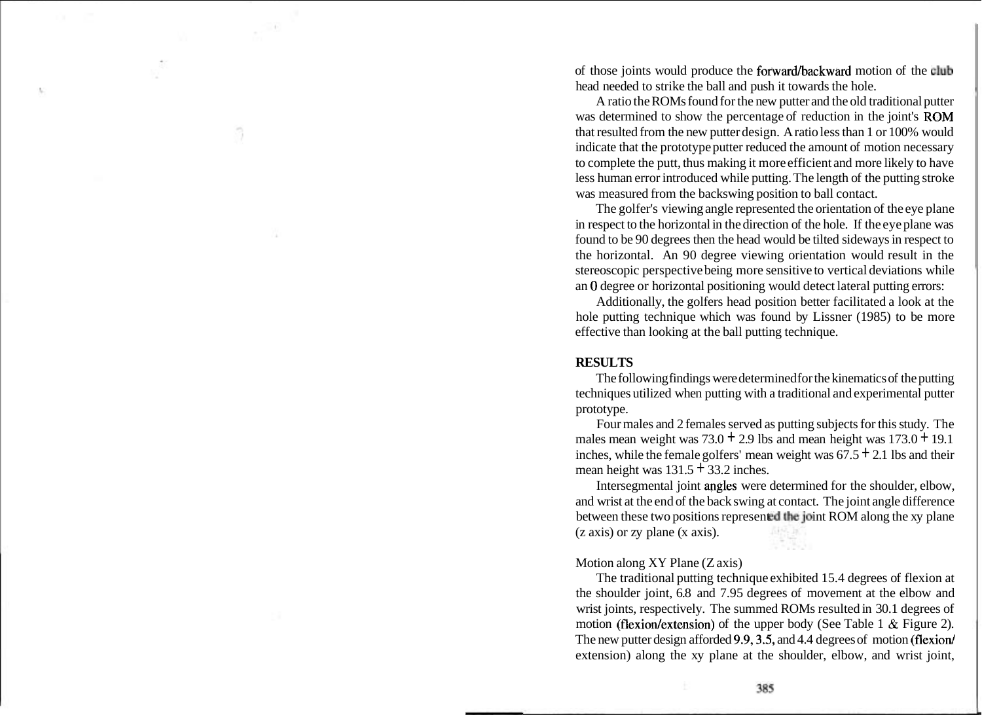of those joints would produce the forward/backward motion of the club head needed to strike the ball and push it towards the hole.

A ratio the ROMs found for the new putter and the old traditional putter was determined to show the percentage of reduction in the joint's ROM that resulted from the new putter design. A ratio less than 1 or 100% would indicate that the prototype putter reduced the amount of motion necessary to complete the putt, thus making it more efficient and more likely to have less human error introduced while putting. The length of the putting stroke was measured from the backswing position to ball contact.

The golfer's viewing angle represented the orientation of the eye plane in respect to the horizontal in the direction of the hole. If the eye plane was found to be 90 degrees then the head would be tilted sideways in respect to the horizontal. An 90 degree viewing orientation would result in the stereoscopic perspective being more sensitive to vertical deviations while an 0 degree or horizontal positioning would detect lateral putting errors:

Additionally, the golfers head position better facilitated a look at the hole putting technique which was found by Lissner (1985) to be more effective than looking at the ball putting technique.

#### **RESULTS**

The following findings were determined for the kinematics of the putting techniques utilized when putting with a traditional and experimental putter prototype.

Four males and 2 females served as putting subjects for this study. The males mean weight was  $73.0 + 2.9$  lbs and mean height was  $173.0 + 19.1$ inches, while the female golfers' mean weight was  $67.5 \pm 2.1$  lbs and their mean height was  $131.5 + 33.2$  inches.

Intersegmental joint apgles were determined for the shoulder, elbow, and wrist at the end of the back swing at contact. The joint angle difference between these two positions represented the joint ROM along the xy plane (z axis) or zy plane (x axis).

#### Motion along XY Plane (Z axis)

The traditional putting technique exhibited 15.4 degrees of flexion at the shoulder joint, 6.8 and 7.95 degrees of movement at the elbow and wrist joints, respectively. The summed ROMs resulted in 30.1 degrees of motion (flexion/extension) of the upper body (See Table 1  $\&$  Figure 2). The new putter design afforded 9.9, 3.5, and 4.4 degrees of motion (flexion) extension) along the xy plane at the shoulder, elbow, and wrist joint,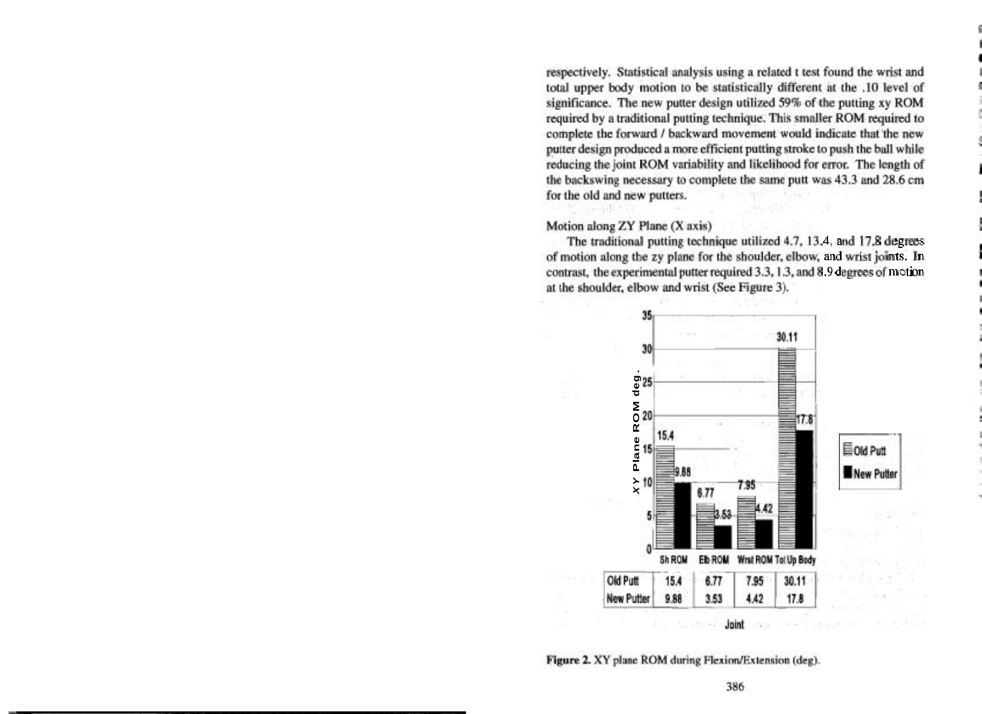respectively. Statistical analysis using a related t test found the wrist and total upper body motion to be statistically different at the .10 level of significance. The new putter design utilized 59% of the putting xy ROM required by a traditional putting technique. This smaller ROM required to complete the forward / backward movement would indicate that the new putter design produced a more efficient putting stroke to push the ball while reducing the joint ROM variability and likelihood for error. The length of the backswing necessary to complete the same putt was 43.3 and 28.6 cm for the old and new putters.

#### Motion along ZY Plane (X axis)

*s*<br> **3**<br> **1.9 degrees of motion**<br> **1.9 degrees of motion** at the shoulder, elbow and wrist (See Figure 3).



Figure 2. XY plane ROM during Flexion/Extension (deg).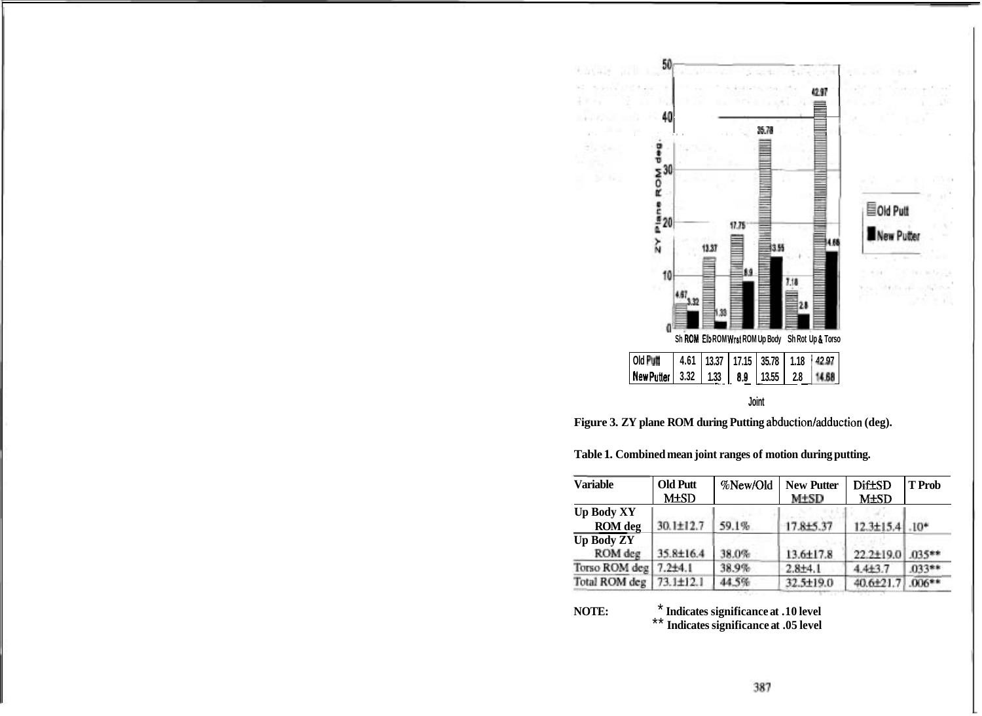

**Joint** 

Figure 3. ZY plane ROM during Putting abduction/adduction (deg).

| <b>Variable</b>   | <b>Old Putt</b><br><b>M±SD</b> | %New/Old | <b>New Putter</b><br>M+SD | <b>Dif±SD</b><br><b>M±SD</b> | <b>T</b> Prob |
|-------------------|--------------------------------|----------|---------------------------|------------------------------|---------------|
|                   |                                |          |                           |                              |               |
| <b>ROM</b> deg    | 30.1±12.7                      | 59.1%    | 17.8±5.37                 | 12.3±15.4                    | $-10*$        |
| <b>Up Body ZY</b> |                                |          |                           |                              |               |
| ROM deg           | 35.8±16.4                      | 38.0%    | 13.6±17.8                 | 22.2±19.0                    | $035**$       |
| Torso ROM deg     | $7.2{\pm}4.1$                  | 38.9%    | $2.8 + 4.1$               | $44+3.7$                     | 033**         |
| Total ROM deg     | $73.1 \pm 12.1$                | 44.5%    | 32.5±19.0                 | 40.6±21.7                    | $.006**$      |

**Table 1. Combined mean joint ranges of motion during putting.** 

#### **NOTE:**  \* **Indicates significance at .10 level**  Indicates significance at .05 level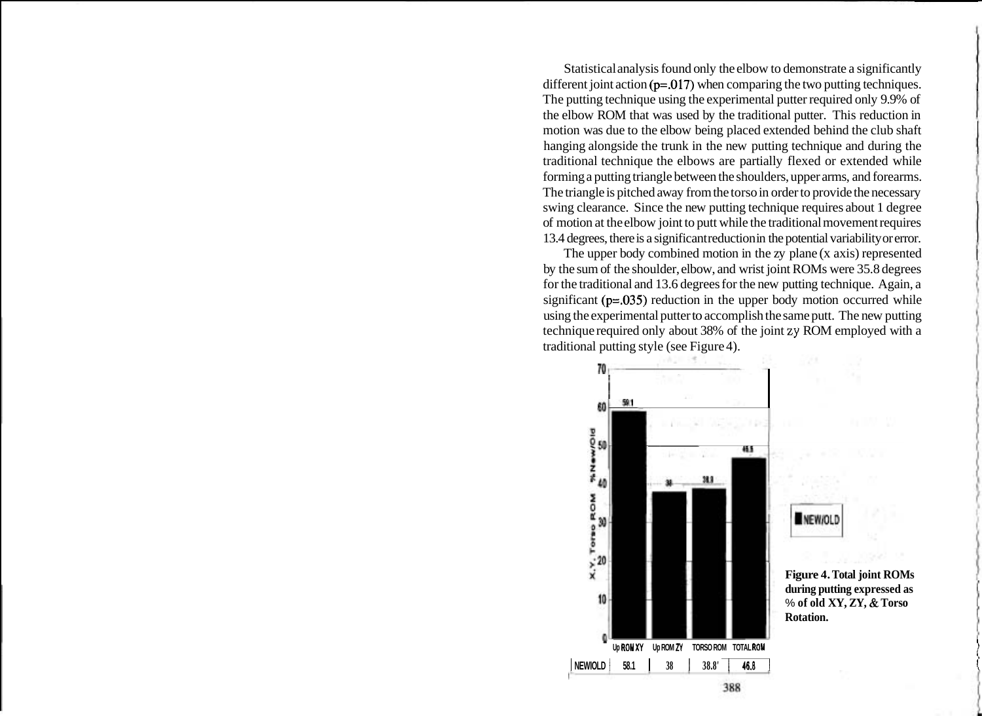Statistical analysis found only the elbow to demonstrate a significantly different joint action  $(p=.017)$  when comparing the two putting techniques. The putting technique using the experimental putter required only 9.9% of the elbow ROM that was used by the traditional putter. This reduction in motion was due to the elbow being placed extended behind the club shaft hanging alongside the trunk in the new putting technique and during the traditional technique the elbows are partially flexed or extended while forming a putting triangle between the shoulders, upper arms, and forearms. The triangle is pitched away from the torso in order to provide the necessary swing clearance. Since the new putting technique requires about 1 degree of motion at the elbow joint to putt while the traditional movement requires 13.4 degrees, there is a significant reduction in the potential variability or error.

The upper body combined motion in the zy plane (x axis) represented by the sum of the shoulder, elbow, and wrist joint ROMs were 35.8 degrees for the traditional and 13.6 degrees for the new putting technique. Again, a significant  $(p=0.035)$  reduction in the upper body motion occurred while using the experimental putter to accomplish the same putt. The new putting technique required only about 38% of the joint **zy** ROM employed with a traditional putting style (see Figure 4).